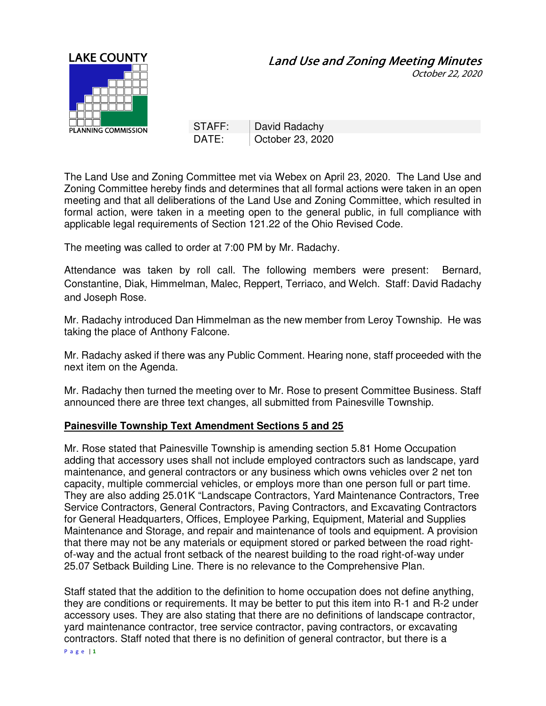

October 22, 2020

STAFF: | David Radachy DATE: Corober 23, 2020

The Land Use and Zoning Committee met via Webex on April 23, 2020. The Land Use and Zoning Committee hereby finds and determines that all formal actions were taken in an open meeting and that all deliberations of the Land Use and Zoning Committee, which resulted in formal action, were taken in a meeting open to the general public, in full compliance with applicable legal requirements of Section 121.22 of the Ohio Revised Code.

The meeting was called to order at 7:00 PM by Mr. Radachy.

Attendance was taken by roll call. The following members were present: Bernard, Constantine, Diak, Himmelman, Malec, Reppert, Terriaco, and Welch. Staff: David Radachy and Joseph Rose.

Mr. Radachy introduced Dan Himmelman as the new member from Leroy Township. He was taking the place of Anthony Falcone.

Mr. Radachy asked if there was any Public Comment. Hearing none, staff proceeded with the next item on the Agenda.

Mr. Radachy then turned the meeting over to Mr. Rose to present Committee Business. Staff announced there are three text changes, all submitted from Painesville Township.

## **Painesville Township Text Amendment Sections 5 and 25**

Mr. Rose stated that Painesville Township is amending section 5.81 Home Occupation adding that accessory uses shall not include employed contractors such as landscape, yard maintenance, and general contractors or any business which owns vehicles over 2 net ton capacity, multiple commercial vehicles, or employs more than one person full or part time. They are also adding 25.01K "Landscape Contractors, Yard Maintenance Contractors, Tree Service Contractors, General Contractors, Paving Contractors, and Excavating Contractors for General Headquarters, Offices, Employee Parking, Equipment, Material and Supplies Maintenance and Storage, and repair and maintenance of tools and equipment. A provision that there may not be any materials or equipment stored or parked between the road rightof-way and the actual front setback of the nearest building to the road right-of-way under 25.07 Setback Building Line. There is no relevance to the Comprehensive Plan.

Staff stated that the addition to the definition to home occupation does not define anything, they are conditions or requirements. It may be better to put this item into R-1 and R-2 under accessory uses. They are also stating that there are no definitions of landscape contractor, yard maintenance contractor, tree service contractor, paving contractors, or excavating contractors. Staff noted that there is no definition of general contractor, but there is a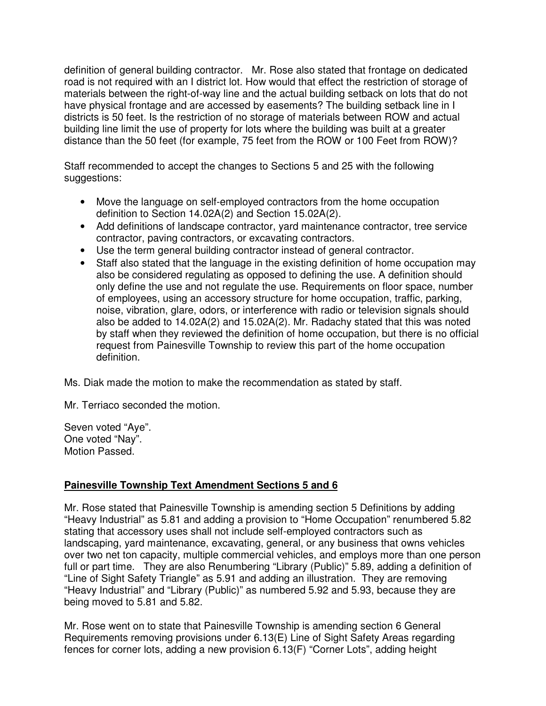definition of general building contractor. Mr. Rose also stated that frontage on dedicated road is not required with an I district lot. How would that effect the restriction of storage of materials between the right-of-way line and the actual building setback on lots that do not have physical frontage and are accessed by easements? The building setback line in I districts is 50 feet. Is the restriction of no storage of materials between ROW and actual building line limit the use of property for lots where the building was built at a greater distance than the 50 feet (for example, 75 feet from the ROW or 100 Feet from ROW)?

Staff recommended to accept the changes to Sections 5 and 25 with the following suggestions:

- Move the language on self-employed contractors from the home occupation definition to Section 14.02A(2) and Section 15.02A(2).
- Add definitions of landscape contractor, yard maintenance contractor, tree service contractor, paving contractors, or excavating contractors.
- Use the term general building contractor instead of general contractor.
- Staff also stated that the language in the existing definition of home occupation may also be considered regulating as opposed to defining the use. A definition should only define the use and not regulate the use. Requirements on floor space, number of employees, using an accessory structure for home occupation, traffic, parking, noise, vibration, glare, odors, or interference with radio or television signals should also be added to 14.02A(2) and 15.02A(2). Mr. Radachy stated that this was noted by staff when they reviewed the definition of home occupation, but there is no official request from Painesville Township to review this part of the home occupation definition.

Ms. Diak made the motion to make the recommendation as stated by staff.

Mr. Terriaco seconded the motion.

Seven voted "Aye". One voted "Nay". Motion Passed.

## **Painesville Township Text Amendment Sections 5 and 6**

Mr. Rose stated that Painesville Township is amending section 5 Definitions by adding "Heavy Industrial" as 5.81 and adding a provision to "Home Occupation" renumbered 5.82 stating that accessory uses shall not include self-employed contractors such as landscaping, yard maintenance, excavating, general, or any business that owns vehicles over two net ton capacity, multiple commercial vehicles, and employs more than one person full or part time. They are also Renumbering "Library (Public)" 5.89, adding a definition of "Line of Sight Safety Triangle" as 5.91 and adding an illustration. They are removing "Heavy Industrial" and "Library (Public)" as numbered 5.92 and 5.93, because they are being moved to 5.81 and 5.82.

Mr. Rose went on to state that Painesville Township is amending section 6 General Requirements removing provisions under 6.13(E) Line of Sight Safety Areas regarding fences for corner lots, adding a new provision 6.13(F) "Corner Lots", adding height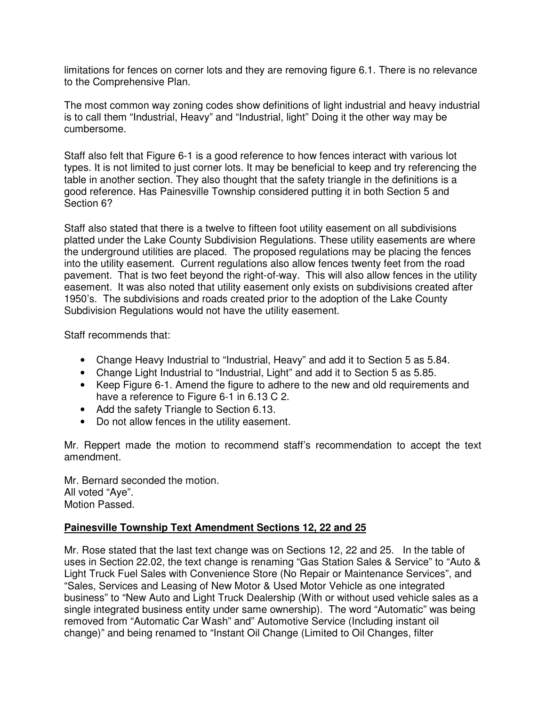limitations for fences on corner lots and they are removing figure 6.1. There is no relevance to the Comprehensive Plan.

The most common way zoning codes show definitions of light industrial and heavy industrial is to call them "Industrial, Heavy" and "Industrial, light" Doing it the other way may be cumbersome.

Staff also felt that Figure 6-1 is a good reference to how fences interact with various lot types. It is not limited to just corner lots. It may be beneficial to keep and try referencing the table in another section. They also thought that the safety triangle in the definitions is a good reference. Has Painesville Township considered putting it in both Section 5 and Section 6?

Staff also stated that there is a twelve to fifteen foot utility easement on all subdivisions platted under the Lake County Subdivision Regulations. These utility easements are where the underground utilities are placed. The proposed regulations may be placing the fences into the utility easement. Current regulations also allow fences twenty feet from the road pavement. That is two feet beyond the right-of-way. This will also allow fences in the utility easement. It was also noted that utility easement only exists on subdivisions created after 1950's. The subdivisions and roads created prior to the adoption of the Lake County Subdivision Regulations would not have the utility easement.

Staff recommends that:

- Change Heavy Industrial to "Industrial, Heavy" and add it to Section 5 as 5.84.
- Change Light Industrial to "Industrial, Light" and add it to Section 5 as 5.85.
- Keep Figure 6-1. Amend the figure to adhere to the new and old requirements and have a reference to Figure 6-1 in 6.13 C 2.
- Add the safety Triangle to Section 6.13.
- Do not allow fences in the utility easement.

Mr. Reppert made the motion to recommend staff's recommendation to accept the text amendment.

Mr. Bernard seconded the motion. All voted "Aye". Motion Passed.

## **Painesville Township Text Amendment Sections 12, 22 and 25**

Mr. Rose stated that the last text change was on Sections 12, 22 and 25. In the table of uses in Section 22.02, the text change is renaming "Gas Station Sales & Service" to "Auto & Light Truck Fuel Sales with Convenience Store (No Repair or Maintenance Services", and "Sales, Services and Leasing of New Motor & Used Motor Vehicle as one integrated business" to "New Auto and Light Truck Dealership (With or without used vehicle sales as a single integrated business entity under same ownership). The word "Automatic" was being removed from "Automatic Car Wash" and" Automotive Service (Including instant oil change)" and being renamed to "Instant Oil Change (Limited to Oil Changes, filter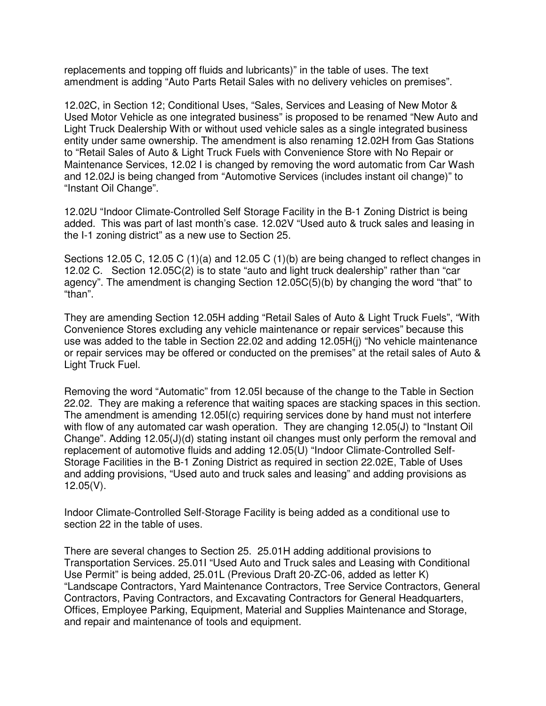replacements and topping off fluids and lubricants)" in the table of uses. The text amendment is adding "Auto Parts Retail Sales with no delivery vehicles on premises".

12.02C, in Section 12; Conditional Uses, "Sales, Services and Leasing of New Motor & Used Motor Vehicle as one integrated business" is proposed to be renamed "New Auto and Light Truck Dealership With or without used vehicle sales as a single integrated business entity under same ownership. The amendment is also renaming 12.02H from Gas Stations to "Retail Sales of Auto & Light Truck Fuels with Convenience Store with No Repair or Maintenance Services, 12.02 I is changed by removing the word automatic from Car Wash and 12.02J is being changed from "Automotive Services (includes instant oil change)" to "Instant Oil Change".

12.02U "Indoor Climate-Controlled Self Storage Facility in the B-1 Zoning District is being added. This was part of last month's case. 12.02V "Used auto & truck sales and leasing in the I-1 zoning district" as a new use to Section 25.

Sections 12.05 C, 12.05 C (1)(a) and 12.05 C (1)(b) are being changed to reflect changes in 12.02 C. Section 12.05C(2) is to state "auto and light truck dealership" rather than "car agency". The amendment is changing Section 12.05C(5)(b) by changing the word "that" to "than".

They are amending Section 12.05H adding "Retail Sales of Auto & Light Truck Fuels", "With Convenience Stores excluding any vehicle maintenance or repair services" because this use was added to the table in Section 22.02 and adding 12.05H(j) "No vehicle maintenance or repair services may be offered or conducted on the premises" at the retail sales of Auto & Light Truck Fuel.

Removing the word "Automatic" from 12.05I because of the change to the Table in Section 22.02. They are making a reference that waiting spaces are stacking spaces in this section. The amendment is amending 12.05I(c) requiring services done by hand must not interfere with flow of any automated car wash operation. They are changing 12.05(J) to "Instant Oil Change". Adding 12.05(J)(d) stating instant oil changes must only perform the removal and replacement of automotive fluids and adding 12.05(U) "Indoor Climate-Controlled Self-Storage Facilities in the B-1 Zoning District as required in section 22.02E, Table of Uses and adding provisions, "Used auto and truck sales and leasing" and adding provisions as 12.05(V).

Indoor Climate-Controlled Self-Storage Facility is being added as a conditional use to section 22 in the table of uses.

There are several changes to Section 25. 25.01H adding additional provisions to Transportation Services. 25.01I "Used Auto and Truck sales and Leasing with Conditional Use Permit" is being added, 25.01L (Previous Draft 20-ZC-06, added as letter K) "Landscape Contractors, Yard Maintenance Contractors, Tree Service Contractors, General Contractors, Paving Contractors, and Excavating Contractors for General Headquarters, Offices, Employee Parking, Equipment, Material and Supplies Maintenance and Storage, and repair and maintenance of tools and equipment.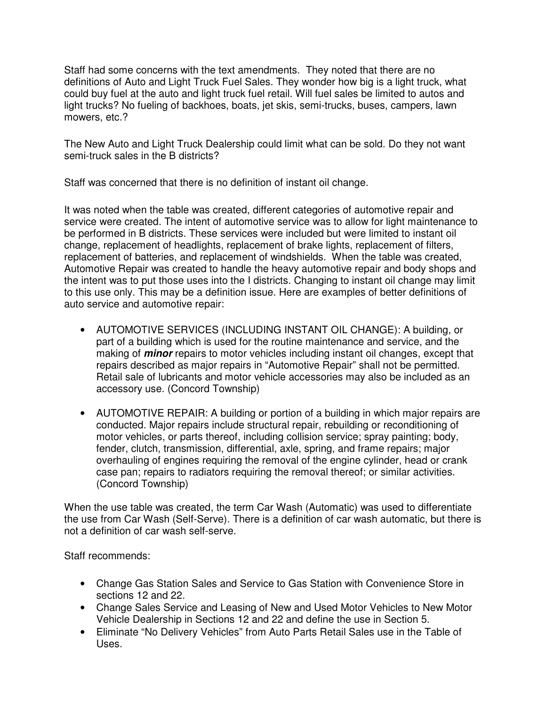Staff had some concerns with the text amendments. They noted that there are no definitions of Auto and Light Truck Fuel Sales. They wonder how big is a light truck, what could buy fuel at the auto and light truck fuel retail. Will fuel sales be limited to autos and light trucks? No fueling of backhoes, boats, jet skis, semi-trucks, buses, campers, lawn mowers, etc.?

The New Auto and Light Truck Dealership could limit what can be sold. Do they not want semi-truck sales in the B districts?

Staff was concerned that there is no definition of instant oil change.

It was noted when the table was created, different categories of automotive repair and service were created. The intent of automotive service was to allow for light maintenance to be performed in B districts. These services were included but were limited to instant oil change, replacement of headlights, replacement of brake lights, replacement of filters, replacement of batteries, and replacement of windshields. When the table was created, Automotive Repair was created to handle the heavy automotive repair and body shops and the intent was to put those uses into the I districts. Changing to instant oil change may limit to this use only. This may be a definition issue. Here are examples of better definitions of auto service and automotive repair:

- AUTOMOTIVE SERVICES (INCLUDING INSTANT OIL CHANGE): A building, or part of a building which is used for the routine maintenance and service, and the making of **minor** repairs to motor vehicles including instant oil changes, except that repairs described as major repairs in "Automotive Repair" shall not be permitted. Retail sale of lubricants and motor vehicle accessories may also be included as an accessory use. (Concord Township)
- AUTOMOTIVE REPAIR: A building or portion of a building in which major repairs are conducted. Major repairs include structural repair, rebuilding or reconditioning of motor vehicles, or parts thereof, including collision service; spray painting; body, fender, clutch, transmission, differential, axle, spring, and frame repairs; major overhauling of engines requiring the removal of the engine cylinder, head or crank case pan; repairs to radiators requiring the removal thereof; or similar activities. (Concord Township)

When the use table was created, the term Car Wash (Automatic) was used to differentiate the use from Car Wash (Self-Serve). There is a definition of car wash automatic, but there is not a definition of car wash self-serve.

Staff recommends:

- Change Gas Station Sales and Service to Gas Station with Convenience Store in sections 12 and 22.
- Change Sales Service and Leasing of New and Used Motor Vehicles to New Motor Vehicle Dealership in Sections 12 and 22 and define the use in Section 5.
- Eliminate "No Delivery Vehicles" from Auto Parts Retail Sales use in the Table of Uses.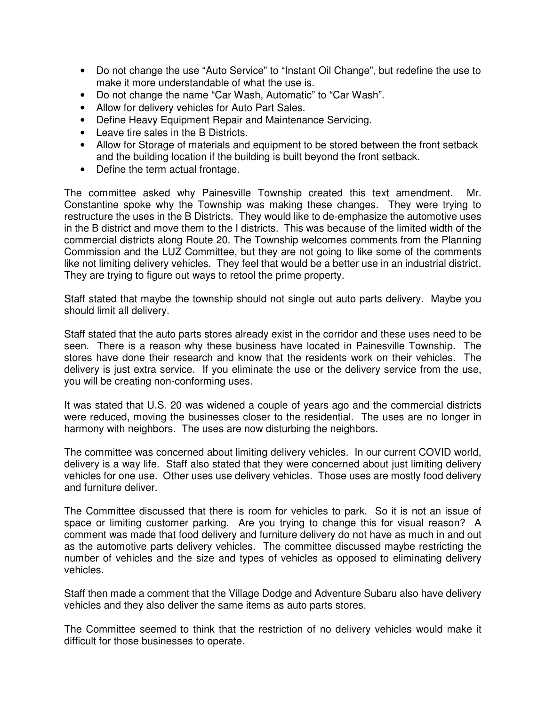- Do not change the use "Auto Service" to "Instant Oil Change", but redefine the use to make it more understandable of what the use is.
- Do not change the name "Car Wash, Automatic" to "Car Wash".
- Allow for delivery vehicles for Auto Part Sales.
- Define Heavy Equipment Repair and Maintenance Servicing.
- Leave tire sales in the B Districts.
- Allow for Storage of materials and equipment to be stored between the front setback and the building location if the building is built beyond the front setback.
- Define the term actual frontage.

The committee asked why Painesville Township created this text amendment. Mr. Constantine spoke why the Township was making these changes. They were trying to restructure the uses in the B Districts. They would like to de-emphasize the automotive uses in the B district and move them to the I districts. This was because of the limited width of the commercial districts along Route 20. The Township welcomes comments from the Planning Commission and the LUZ Committee, but they are not going to like some of the comments like not limiting delivery vehicles. They feel that would be a better use in an industrial district. They are trying to figure out ways to retool the prime property.

Staff stated that maybe the township should not single out auto parts delivery. Maybe you should limit all delivery.

Staff stated that the auto parts stores already exist in the corridor and these uses need to be seen. There is a reason why these business have located in Painesville Township. The stores have done their research and know that the residents work on their vehicles. The delivery is just extra service. If you eliminate the use or the delivery service from the use, you will be creating non-conforming uses.

It was stated that U.S. 20 was widened a couple of years ago and the commercial districts were reduced, moving the businesses closer to the residential. The uses are no longer in harmony with neighbors. The uses are now disturbing the neighbors.

The committee was concerned about limiting delivery vehicles. In our current COVID world, delivery is a way life. Staff also stated that they were concerned about just limiting delivery vehicles for one use. Other uses use delivery vehicles. Those uses are mostly food delivery and furniture deliver.

The Committee discussed that there is room for vehicles to park. So it is not an issue of space or limiting customer parking. Are you trying to change this for visual reason? A comment was made that food delivery and furniture delivery do not have as much in and out as the automotive parts delivery vehicles. The committee discussed maybe restricting the number of vehicles and the size and types of vehicles as opposed to eliminating delivery vehicles.

Staff then made a comment that the Village Dodge and Adventure Subaru also have delivery vehicles and they also deliver the same items as auto parts stores.

The Committee seemed to think that the restriction of no delivery vehicles would make it difficult for those businesses to operate.